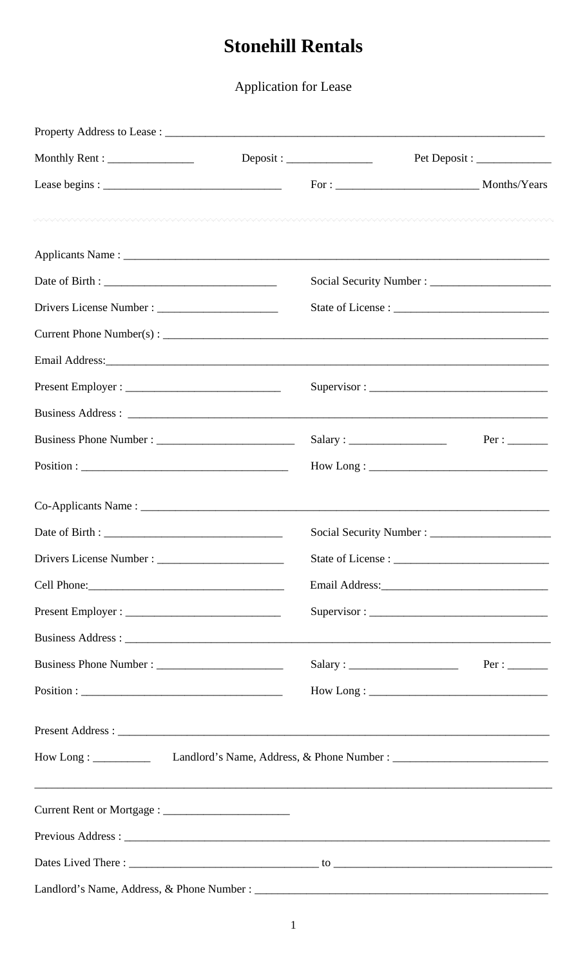## **Stonehill Rentals**

Application for Lease

|                                           | Deposit:                 |      |
|-------------------------------------------|--------------------------|------|
|                                           |                          |      |
|                                           |                          |      |
|                                           |                          |      |
|                                           |                          |      |
|                                           |                          |      |
|                                           |                          |      |
|                                           |                          |      |
|                                           |                          |      |
|                                           |                          |      |
|                                           |                          | Per: |
|                                           | $How Long: ____________$ |      |
|                                           |                          |      |
|                                           |                          |      |
|                                           |                          |      |
|                                           |                          |      |
|                                           |                          |      |
|                                           |                          |      |
|                                           |                          |      |
|                                           | $How Long: ____________$ |      |
|                                           |                          |      |
| $How Long: \_\_$                          |                          |      |
|                                           |                          |      |
|                                           |                          |      |
|                                           |                          |      |
| Landlord's Name. Address, & Phone Number: |                          |      |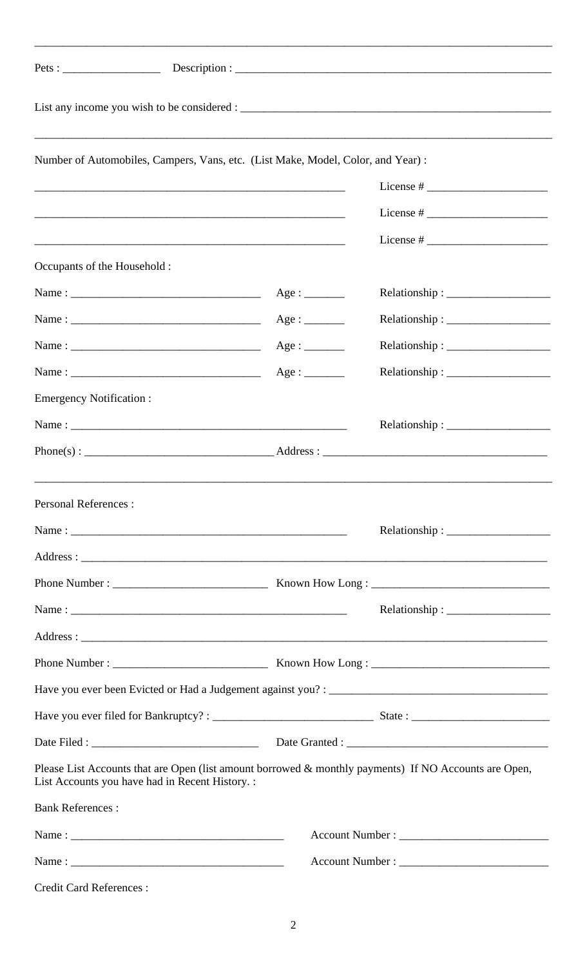| Pets:                                                                                                                                                    |  |  |
|----------------------------------------------------------------------------------------------------------------------------------------------------------|--|--|
|                                                                                                                                                          |  |  |
| Number of Automobiles, Campers, Vans, etc. (List Make, Model, Color, and Year):                                                                          |  |  |
|                                                                                                                                                          |  |  |
|                                                                                                                                                          |  |  |
| <u> 2000 - Andrea Andrewski, amerikansk politik (d. 1982)</u>                                                                                            |  |  |
| Occupants of the Household :                                                                                                                             |  |  |
|                                                                                                                                                          |  |  |
|                                                                                                                                                          |  |  |
|                                                                                                                                                          |  |  |
|                                                                                                                                                          |  |  |
| <b>Emergency Notification:</b>                                                                                                                           |  |  |
|                                                                                                                                                          |  |  |
|                                                                                                                                                          |  |  |
|                                                                                                                                                          |  |  |
| <b>Personal References:</b>                                                                                                                              |  |  |
|                                                                                                                                                          |  |  |
|                                                                                                                                                          |  |  |
|                                                                                                                                                          |  |  |
|                                                                                                                                                          |  |  |
|                                                                                                                                                          |  |  |
|                                                                                                                                                          |  |  |
|                                                                                                                                                          |  |  |
|                                                                                                                                                          |  |  |
|                                                                                                                                                          |  |  |
| Please List Accounts that are Open (list amount borrowed & monthly payments) If NO Accounts are Open,<br>List Accounts you have had in Recent History. : |  |  |
| <b>Bank References:</b>                                                                                                                                  |  |  |
|                                                                                                                                                          |  |  |
|                                                                                                                                                          |  |  |
| <b>Credit Card References:</b>                                                                                                                           |  |  |